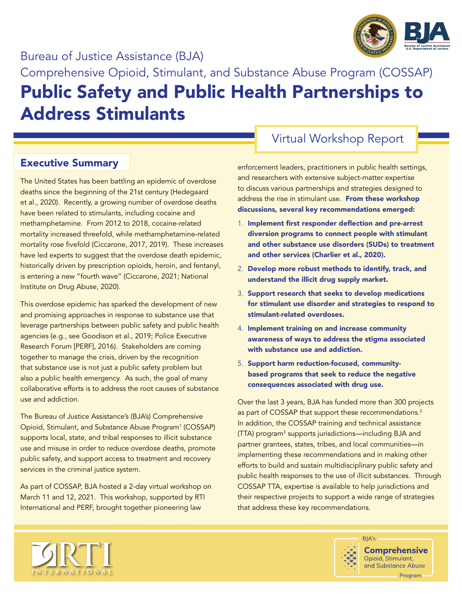

# Bureau of Justice Assistance (BJA)

# Comprehensive Opioid, Stimulant, and Substance Abuse Program (COSSAP) Public Safety and Public Health Partnerships to Address Stimulants

# Executive Summary

The United States has been battling an epidemic of overdose deaths since the beginning of the 21st century (Hedegaard et al., 2020). Recently, a growing number of overdose deaths have been related to stimulants, including cocaine and methamphetamine. From 2012 to 2018, cocaine-related mortality increased threefold, while methamphetamine-related mortality rose fivefold (Ciccarone, 2017, 2019). These increases have led experts to suggest that the overdose death epidemic, historically driven by prescription opioids, heroin, and fentanyl, is entering a new "fourth wave" (Ciccarone, 2021; National Institute on Drug Abuse, 2020).

This overdose epidemic has sparked the development of new and promising approaches in response to substance use that leverage partnerships between public safety and public health agencies (e.g., see Goodison et al., 2019; Police Executive Research Forum [PERF], 2016). Stakeholders are coming together to manage the crisis, driven by the recognition that substance use is not just a public safety problem but also a public health emergency. As such, the goal of many collaborative efforts is to address the root causes of substance use and addiction.

The Bureau of Justice Assistance's (BJA's) Comprehensive Opioid, Stimulant, and Substance Abuse Program<sup>1</sup> (COSSAP) supports local, state, and tribal responses to illicit substance use and misuse in order to reduce overdose deaths, promote public safety, and support access to treatment and recovery services in the criminal justice system.

As part of COSSAP, BJA hosted a 2-day virtual workshop on March 11 and 12, 2021. This workshop, supported by RTI International and PERF, brought together pioneering law

# Virtual Workshop Report

enforcement leaders, practitioners in public health settings, and researchers with extensive subject-matter expertise to discuss various partnerships and strategies designed to address the rise in stimulant use. From these workshop discussions, several key recommendations emerged:

- 1. Implement first responder deflection and pre-arrest diversion programs to connect people with stimulant and other substance use disorders (SUDs) to treatment and other services (Charlier et al., 2020).
- 2. Develop more robust methods to identify, track, and understand the illicit drug supply market.
- 3. Support research that seeks to develop medications for stimulant use disorder and strategies to respond to stimulant-related overdoses.
- 4. Implement training on and increase community awareness of ways to address the stigma associated with substance use and addiction.
- 5. Support harm reduction-focused, communitybased programs that seek to reduce the negative consequences associated with drug use.

Over the last 3 years, BJA has funded more than 300 projects as part of COSSAP that support these recommendations. $2$ In addition, the COSSAP training and technical assistance (TTA) program<sup>3</sup> supports jurisdictions—including BJA and partner grantees, states, tribes, and local communities—in implementing these recommendations and in making other efforts to build and sustain multidisciplinary public safety and public health responses to the use of illicit substances. Through COSSAP TTA, expertise is available to help jurisdictions and their respective projects to support a wide range of strategies that address these key recommendations.





**Comprehensive** Opioid, Stimulant, and Substance Abuse Program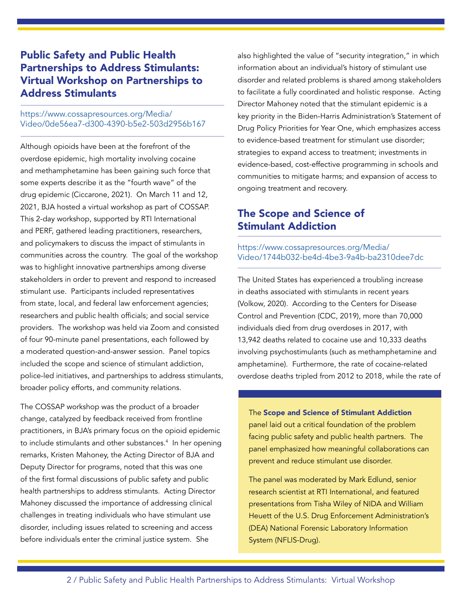## Public Safety and Public Health Partnerships to Address Stimulants: Virtual Workshop on Partnerships to Address Stimulants

### [https://www.cossapresources.org/Media/](https://www.cossapresources.org/Media/Video/0de56ea7-d300-4390-b5e2-503d2956b167) [Video/0de56ea7-d300-4390-b5e2-503d2956b167](https://www.cossapresources.org/Media/Video/0de56ea7-d300-4390-b5e2-503d2956b167)

Although opioids have been at the forefront of the overdose epidemic, high mortality involving cocaine and methamphetamine has been gaining such force that some experts describe it as the "fourth wave" of the drug epidemic (Ciccarone, 2021). On March 11 and 12, 2021, BJA hosted a virtual workshop as part of COSSAP. This 2-day workshop, supported by RTI International and PERF, gathered leading practitioners, researchers, and policymakers to discuss the impact of stimulants in communities across the country. The goal of the workshop was to highlight innovative partnerships among diverse stakeholders in order to prevent and respond to increased stimulant use. Participants included representatives from state, local, and federal law enforcement agencies; researchers and public health officials; and social service providers. The workshop was held via Zoom and consisted of four 90-minute panel presentations, each followed by a moderated question-and-answer session. Panel topics included the scope and science of stimulant addiction, police-led initiatives, and partnerships to address stimulants, broader policy efforts, and community relations.

The COSSAP workshop was the product of a broader change, catalyzed by feedback received from frontline practitioners, in BJA's primary focus on the opioid epidemic to include stimulants and other substances.<sup>4</sup> In her opening remarks, Kristen Mahoney, the Acting Director of BJA and Deputy Director for programs, noted that this was one of the first formal discussions of public safety and public health partnerships to address stimulants. Acting Director Mahoney discussed the importance of addressing clinical challenges in treating individuals who have stimulant use disorder, including issues related to screening and access before individuals enter the criminal justice system. She

also highlighted the value of "security integration," in which information about an individual's history of stimulant use disorder and related problems is shared among stakeholders to facilitate a fully coordinated and holistic response. Acting Director Mahoney noted that the stimulant epidemic is a key priority in the Biden-Harris Administration's Statement of Drug Policy Priorities for Year One, which emphasizes access to evidence-based treatment for stimulant use disorder; strategies to expand access to treatment; investments in evidence-based, cost-effective programming in schools and communities to mitigate harms; and expansion of access to ongoing treatment and recovery.

# The Scope and Science of Stimulant Addiction

### [https://www.cossapresources.org/Media/](https://www.cossapresources.org/Media/Video/1744b032-be4d-4be3-9a4b-ba2310dee7dc) [Video/1744b032-be4d-4be3-9a4b-ba2310dee7dc](https://www.cossapresources.org/Media/Video/1744b032-be4d-4be3-9a4b-ba2310dee7dc)

The United States has experienced a troubling increase in deaths associated with stimulants in recent years (Volkow, 2020). According to the Centers for Disease Control and Prevention (CDC, 2019), more than 70,000 individuals died from drug overdoses in 2017, with 13,942 deaths related to cocaine use and 10,333 deaths involving psychostimulants (such as methamphetamine and amphetamine). Furthermore, the rate of cocaine-related overdose deaths tripled from 2012 to 2018, while the rate of

The Scope and Science of Stimulant Addiction panel laid out a critical foundation of the problem facing public safety and public health partners. The panel emphasized how meaningful collaborations can prevent and reduce stimulant use disorder.

The panel was moderated by Mark Edlund, senior research scientist at RTI International, and featured presentations from Tisha Wiley of NIDA and William Heuett of the U.S. Drug Enforcement Administration's (DEA) National Forensic Laboratory Information System (NFLIS-Drug).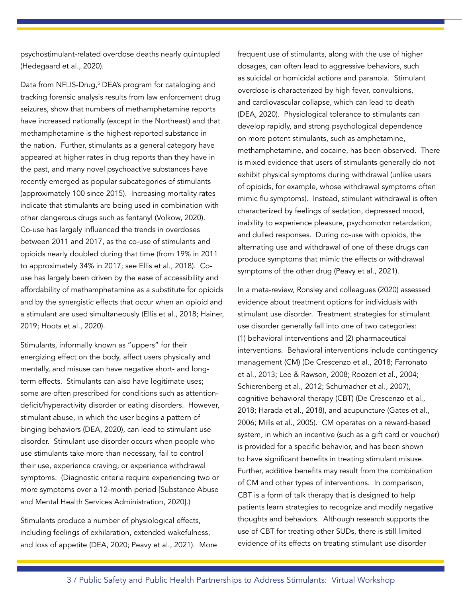psychostimulant-related overdose deaths nearly quintupled (Hedegaard et al., 2020).

Data from NFLIS-Drug,<sup>5</sup> DEA's program for cataloging and tracking forensic analysis results from law enforcement drug seizures, show that numbers of methamphetamine reports have increased nationally (except in the Northeast) and that methamphetamine is the highest-reported substance in the nation. Further, stimulants as a general category have appeared at higher rates in drug reports than they have in the past, and many novel psychoactive substances have recently emerged as popular subcategories of stimulants (approximately 100 since 2015). Increasing mortality rates indicate that stimulants are being used in combination with other dangerous drugs such as fentanyl (Volkow, 2020). Co-use has largely influenced the trends in overdoses between 2011 and 2017, as the co-use of stimulants and opioids nearly doubled during that time (from 19% in 2011 to approximately 34% in 2017; see Ellis et al., 2018). Couse has largely been driven by the ease of accessibility and affordability of methamphetamine as a substitute for opioids and by the synergistic effects that occur when an opioid and a stimulant are used simultaneously (Ellis et al., 2018; Hainer, 2019; Hoots et al., 2020).

Stimulants, informally known as "uppers" for their energizing effect on the body, affect users physically and mentally, and misuse can have negative short- and longterm effects. Stimulants can also have legitimate uses; some are often prescribed for conditions such as attentiondeficit/hyperactivity disorder or eating disorders. However, stimulant abuse, in which the user begins a pattern of binging behaviors (DEA, 2020), can lead to stimulant use disorder. Stimulant use disorder occurs when people who use stimulants take more than necessary, fail to control their use, experience craving, or experience withdrawal symptoms. (Diagnostic criteria require experiencing two or more symptoms over a 12-month period [Substance Abuse and Mental Health Services Administration, 2020].)

Stimulants produce a number of physiological effects, including feelings of exhilaration, extended wakefulness, and loss of appetite (DEA, 2020; Peavy et al., 2021). More frequent use of stimulants, along with the use of higher dosages, can often lead to aggressive behaviors, such as suicidal or homicidal actions and paranoia. Stimulant overdose is characterized by high fever, convulsions, and cardiovascular collapse, which can lead to death (DEA, 2020). Physiological tolerance to stimulants can develop rapidly, and strong psychological dependence on more potent stimulants, such as amphetamine, methamphetamine, and cocaine, has been observed. There is mixed evidence that users of stimulants generally do not exhibit physical symptoms during withdrawal (unlike users of opioids, for example, whose withdrawal symptoms often mimic flu symptoms). Instead, stimulant withdrawal is often characterized by feelings of sedation, depressed mood, inability to experience pleasure, psychomotor retardation, and dulled responses. During co-use with opioids, the alternating use and withdrawal of one of these drugs can produce symptoms that mimic the effects or withdrawal symptoms of the other drug (Peavy et al., 2021).

In a meta-review, Ronsley and colleagues (2020) assessed evidence about treatment options for individuals with stimulant use disorder. Treatment strategies for stimulant use disorder generally fall into one of two categories: (1) behavioral interventions and (2) pharmaceutical interventions. Behavioral interventions include contingency management (CM) (De Crescenzo et al., 2018; Farronato et al., 2013; Lee & Rawson, 2008; Roozen et al., 2004; Schierenberg et al., 2012; Schumacher et al., 2007), cognitive behavioral therapy (CBT) (De Crescenzo et al., 2018; Harada et al., 2018), and acupuncture (Gates et al., 2006; Mills et al., 2005). CM operates on a reward-based system, in which an incentive (such as a gift card or voucher) is provided for a specific behavior, and has been shown to have significant benefits in treating stimulant misuse. Further, additive benefits may result from the combination of CM and other types of interventions. In comparison, CBT is a form of talk therapy that is designed to help patients learn strategies to recognize and modify negative thoughts and behaviors. Although research supports the use of CBT for treating other SUDs, there is still limited evidence of its effects on treating stimulant use disorder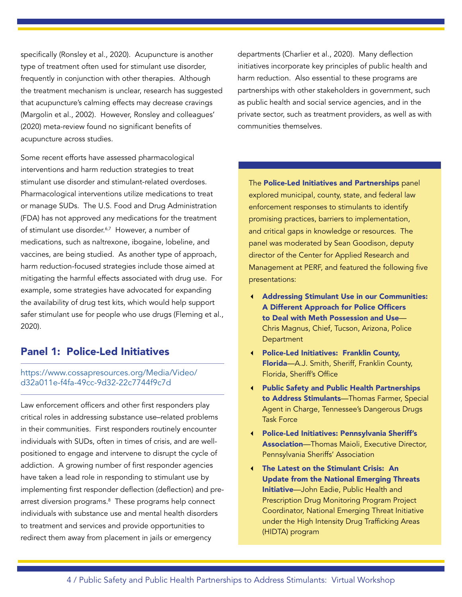specifically (Ronsley et al., 2020). Acupuncture is another type of treatment often used for stimulant use disorder, frequently in conjunction with other therapies. Although the treatment mechanism is unclear, research has suggested that acupuncture's calming effects may decrease cravings (Margolin et al., 2002). However, Ronsley and colleagues' (2020) meta-review found no significant benefits of acupuncture across studies.

Some recent efforts have assessed pharmacological interventions and harm reduction strategies to treat stimulant use disorder and stimulant-related overdoses. Pharmacological interventions utilize medications to treat or manage SUDs. The U.S. Food and Drug Administration (FDA) has not approved any medications for the treatment of stimulant use disorder.<sup>6,7</sup> However, a number of medications, such as naltrexone, ibogaine, lobeline, and vaccines, are being studied. As another type of approach, harm reduction-focused strategies include those aimed at mitigating the harmful effects associated with drug use. For example, some strategies have advocated for expanding the availability of drug test kits, which would help support safer stimulant use for people who use drugs (Fleming et al., 2020).

## Panel 1: Police-Led Initiatives

#### [https://www.cossapresources.org/Media/Video/](https://www.cossapresources.org/Media/Video/d32a011e-f4fa-49cc-9d32-22c7744f9c7d) [d32a011e-f4fa-49cc-9d32-22c7744f9c7d](https://www.cossapresources.org/Media/Video/d32a011e-f4fa-49cc-9d32-22c7744f9c7d)

Law enforcement officers and other first responders play critical roles in addressing substance use–related problems in their communities. First responders routinely encounter individuals with SUDs, often in times of crisis, and are wellpositioned to engage and intervene to disrupt the cycle of addiction. A growing number of first responder agencies have taken a lead role in responding to stimulant use by implementing first responder deflection (deflection) and prearrest diversion programs.8 These programs help connect individuals with substance use and mental health disorders to treatment and services and provide opportunities to redirect them away from placement in jails or emergency

departments (Charlier et al., 2020). Many deflection initiatives incorporate key principles of public health and harm reduction. Also essential to these programs are partnerships with other stakeholders in government, such as public health and social service agencies, and in the private sector, such as treatment providers, as well as with communities themselves.

The Police-Led Initiatives and Partnerships panel explored municipal, county, state, and federal law enforcement responses to stimulants to identify promising practices, barriers to implementation, and critical gaps in knowledge or resources. The panel was moderated by Sean Goodison, deputy director of the Center for Applied Research and Management at PERF, and featured the following five presentations:

- Addressing Stimulant Use in our Communities: A Different Approach for Police Officers to Deal with Meth Possession and Use— Chris Magnus, Chief, Tucson, Arizona, Police **Department**
- Police-Led Initiatives: Franklin County, Florida—A.J. Smith, Sheriff, Franklin County, Florida, Sheriff's Office
- Public Safety and Public Health Partnerships to Address Stimulants—Thomas Farmer, Special Agent in Charge, Tennessee's Dangerous Drugs Task Force
- Police-Led Initiatives: Pennsylvania Sheriff's Association—Thomas Maioli, Executive Director, Pennsylvania Sheriffs' Association
- The Latest on the Stimulant Crisis: An Update from the National Emerging Threats Initiative—John Eadie, Public Health and Prescription Drug Monitoring Program Project Coordinator, National Emerging Threat Initiative under the High Intensity Drug Trafficking Areas (HIDTA) program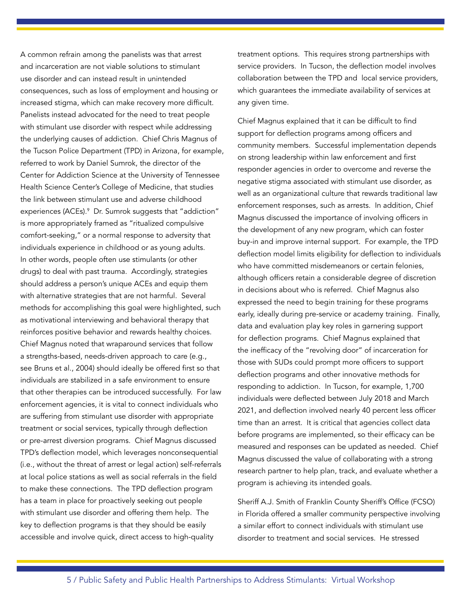A common refrain among the panelists was that arrest and incarceration are not viable solutions to stimulant use disorder and can instead result in unintended consequences, such as loss of employment and housing or increased stigma, which can make recovery more difficult. Panelists instead advocated for the need to treat people with stimulant use disorder with respect while addressing the underlying causes of addiction. Chief Chris Magnus of the Tucson Police Department (TPD) in Arizona, for example, referred to work by Daniel Sumrok, the director of the Center for Addiction Science at the University of Tennessee Health Science Center's College of Medicine, that studies the link between stimulant use and adverse childhood experiences (ACEs).<sup>9</sup> Dr. Sumrok suggests that "addiction" is more appropriately framed as "ritualized compulsive comfort-seeking," or a normal response to adversity that individuals experience in childhood or as young adults. In other words, people often use stimulants (or other drugs) to deal with past trauma. Accordingly, strategies should address a person's unique ACEs and equip them with alternative strategies that are not harmful. Several methods for accomplishing this goal were highlighted, such as motivational interviewing and behavioral therapy that reinforces positive behavior and rewards healthy choices. Chief Magnus noted that wraparound services that follow a strengths-based, needs-driven approach to care (e.g., see Bruns et al., 2004) should ideally be offered first so that individuals are stabilized in a safe environment to ensure that other therapies can be introduced successfully. For law enforcement agencies, it is vital to connect individuals who are suffering from stimulant use disorder with appropriate treatment or social services, typically through deflection or pre-arrest diversion programs. Chief Magnus discussed TPD's deflection model, which leverages nonconsequential (i.e., without the threat of arrest or legal action) self-referrals at local police stations as well as social referrals in the field to make these connections. The TPD deflection program has a team in place for proactively seeking out people with stimulant use disorder and offering them help. The key to deflection programs is that they should be easily accessible and involve quick, direct access to high-quality

treatment options. This requires strong partnerships with service providers. In Tucson, the deflection model involves collaboration between the TPD and local service providers, which guarantees the immediate availability of services at any given time.

Chief Magnus explained that it can be difficult to find support for deflection programs among officers and community members. Successful implementation depends on strong leadership within law enforcement and first responder agencies in order to overcome and reverse the negative stigma associated with stimulant use disorder, as well as an organizational culture that rewards traditional law enforcement responses, such as arrests. In addition, Chief Magnus discussed the importance of involving officers in the development of any new program, which can foster buy-in and improve internal support. For example, the TPD deflection model limits eligibility for deflection to individuals who have committed misdemeanors or certain felonies, although officers retain a considerable degree of discretion in decisions about who is referred. Chief Magnus also expressed the need to begin training for these programs early, ideally during pre-service or academy training. Finally, data and evaluation play key roles in garnering support for deflection programs. Chief Magnus explained that the inefficacy of the "revolving door" of incarceration for those with SUDs could prompt more officers to support deflection programs and other innovative methods for responding to addiction. In Tucson, for example, 1,700 individuals were deflected between July 2018 and March 2021, and deflection involved nearly 40 percent less officer time than an arrest. It is critical that agencies collect data before programs are implemented, so their efficacy can be measured and responses can be updated as needed. Chief Magnus discussed the value of collaborating with a strong research partner to help plan, track, and evaluate whether a program is achieving its intended goals.

Sheriff A.J. Smith of Franklin County Sheriff's Office (FCSO) in Florida offered a smaller community perspective involving a similar effort to connect individuals with stimulant use disorder to treatment and social services. He stressed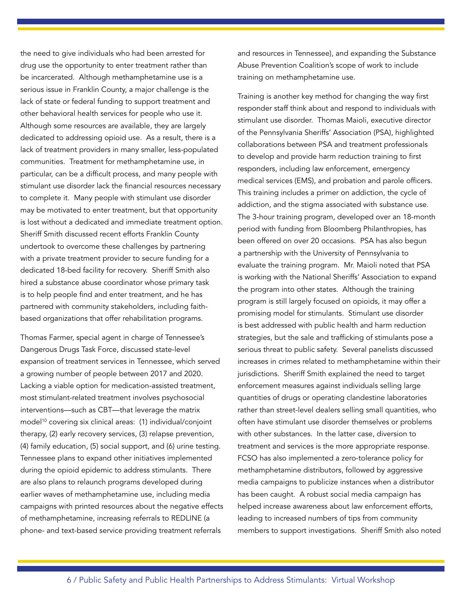the need to give individuals who had been arrested for drug use the opportunity to enter treatment rather than be incarcerated. Although methamphetamine use is a serious issue in Franklin County, a major challenge is the lack of state or federal funding to support treatment and other behavioral health services for people who use it. Although some resources are available, they are largely dedicated to addressing opioid use. As a result, there is a lack of treatment providers in many smaller, less-populated communities. Treatment for methamphetamine use, in particular, can be a difficult process, and many people with stimulant use disorder lack the financial resources necessary to complete it. Many people with stimulant use disorder may be motivated to enter treatment, but that opportunity is lost without a dedicated and immediate treatment option. Sheriff Smith discussed recent efforts Franklin County undertook to overcome these challenges by partnering with a private treatment provider to secure funding for a dedicated 18-bed facility for recovery. Sheriff Smith also hired a substance abuse coordinator whose primary task is to help people find and enter treatment, and he has partnered with community stakeholders, including faithbased organizations that offer rehabilitation programs.

Thomas Farmer, special agent in charge of Tennessee's Dangerous Drugs Task Force, discussed state-level expansion of treatment services in Tennessee, which served a growing number of people between 2017 and 2020. Lacking a viable option for medication-assisted treatment, most stimulant-related treatment involves psychosocial interventions—such as CBT—that leverage the matrix model10 covering six clinical areas: (1) individual/conjoint therapy, (2) early recovery services, (3) relapse prevention, (4) family education, (5) social support, and (6) urine testing. Tennessee plans to expand other initiatives implemented during the opioid epidemic to address stimulants. There are also plans to relaunch programs developed during earlier waves of methamphetamine use, including media campaigns with printed resources about the negative effects of methamphetamine, increasing referrals to REDLINE (a phone- and text-based service providing treatment referrals

and resources in Tennessee), and expanding the Substance Abuse Prevention Coalition's scope of work to include training on methamphetamine use.

Training is another key method for changing the way first responder staff think about and respond to individuals with stimulant use disorder. Thomas Maioli, executive director of the Pennsylvania Sheriffs' Association (PSA), highlighted collaborations between PSA and treatment professionals to develop and provide harm reduction training to first responders, including law enforcement, emergency medical services (EMS), and probation and parole officers. This training includes a primer on addiction, the cycle of addiction, and the stigma associated with substance use. The 3-hour training program, developed over an 18-month period with funding from Bloomberg Philanthropies, has been offered on over 20 occasions. PSA has also begun a partnership with the University of Pennsylvania to evaluate the training program. Mr. Maioli noted that PSA is working with the National Sheriffs' Association to expand the program into other states. Although the training program is still largely focused on opioids, it may offer a promising model for stimulants. Stimulant use disorder is best addressed with public health and harm reduction strategies, but the sale and trafficking of stimulants pose a serious threat to public safety. Several panelists discussed increases in crimes related to methamphetamine within their jurisdictions. Sheriff Smith explained the need to target enforcement measures against individuals selling large quantities of drugs or operating clandestine laboratories rather than street-level dealers selling small quantities, who often have stimulant use disorder themselves or problems with other substances. In the latter case, diversion to treatment and services is the more appropriate response. FCSO has also implemented a zero-tolerance policy for methamphetamine distributors, followed by aggressive media campaigns to publicize instances when a distributor has been caught. A robust social media campaign has helped increase awareness about law enforcement efforts, leading to increased numbers of tips from community members to support investigations. Sheriff Smith also noted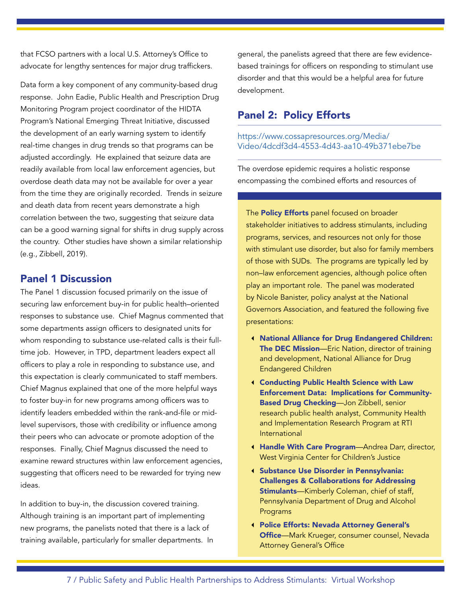that FCSO partners with a local U.S. Attorney's Office to advocate for lengthy sentences for major drug traffickers.

Data form a key component of any community-based drug response. John Eadie, Public Health and Prescription Drug Monitoring Program project coordinator of the HIDTA Program's National Emerging Threat Initiative, discussed the development of an early warning system to identify real-time changes in drug trends so that programs can be adjusted accordingly. He explained that seizure data are readily available from local law enforcement agencies, but overdose death data may not be available for over a year from the time they are originally recorded. Trends in seizure and death data from recent years demonstrate a high correlation between the two, suggesting that seizure data can be a good warning signal for shifts in drug supply across the country. Other studies have shown a similar relationship (e.g., Zibbell, 2019).

## Panel 1 Discussion

The Panel 1 discussion focused primarily on the issue of securing law enforcement buy-in for public health–oriented responses to substance use. Chief Magnus commented that some departments assign officers to designated units for whom responding to substance use-related calls is their fulltime job. However, in TPD, department leaders expect all officers to play a role in responding to substance use, and this expectation is clearly communicated to staff members. Chief Magnus explained that one of the more helpful ways to foster buy-in for new programs among officers was to identify leaders embedded within the rank-and-file or midlevel supervisors, those with credibility or influence among their peers who can advocate or promote adoption of the responses. Finally, Chief Magnus discussed the need to examine reward structures within law enforcement agencies, suggesting that officers need to be rewarded for trying new ideas.

In addition to buy-in, the discussion covered training. Although training is an important part of implementing new programs, the panelists noted that there is a lack of training available, particularly for smaller departments. In general, the panelists agreed that there are few evidencebased trainings for officers on responding to stimulant use disorder and that this would be a helpful area for future development.

# Panel 2: Policy Efforts

#### [https://www.cossapresources.org/Media/](https://www.cossapresources.org/Media/Video/4dcdf3d4-4553-4d43-aa10-49b371ebe7be) [Video/4dcdf3d4-4553-4d43-aa10-49b371ebe7be](https://www.cossapresources.org/Media/Video/4dcdf3d4-4553-4d43-aa10-49b371ebe7be)

The overdose epidemic requires a holistic response encompassing the combined efforts and resources of

The **Policy Efforts** panel focused on broader stakeholder initiatives to address stimulants, including programs, services, and resources not only for those with stimulant use disorder, but also for family members of those with SUDs. The programs are typically led by non–law enforcement agencies, although police often play an important role. The panel was moderated by Nicole Banister, policy analyst at the National Governors Association, and featured the following five presentations:

- National Alliance for Drug Endangered Children: The DEC Mission-Eric Nation, director of training and development, National Alliance for Drug Endangered Children
- Conducting Public Health Science with Law Enforcement Data: Implications for Community-Based Drug Checking-Jon Zibbell, senior research public health analyst, Community Health and Implementation Research Program at RTI International
- 4 Handle With Care Program-Andrea Darr, director, West Virginia Center for Children's Justice
- Substance Use Disorder in Pennsylvania: Challenges & Collaborations for Addressing **Stimulants**—Kimberly Coleman, chief of staff, Pennsylvania Department of Drug and Alcohol Programs
- Police Efforts: Nevada Attorney General's **Office**—Mark Krueger, consumer counsel, Nevada Attorney General's Office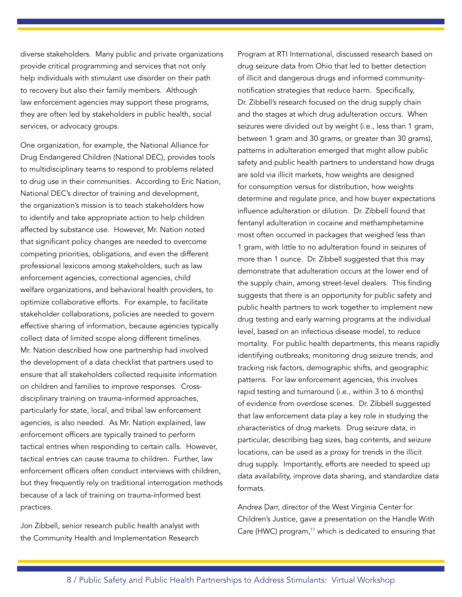diverse stakeholders. Many public and private organizations provide critical programming and services that not only help individuals with stimulant use disorder on their path to recovery but also their family members. Although law enforcement agencies may support these programs, they are often led by stakeholders in public health, social services, or advocacy groups.

One organization, for example, the National Alliance for Drug Endangered Children (National DEC), provides tools to multidisciplinary teams to respond to problems related to drug use in their communities. According to Eric Nation, National DEC's director of training and development, the organization's mission is to teach stakeholders how to identify and take appropriate action to help children affected by substance use. However, Mr. Nation noted that significant policy changes are needed to overcome competing priorities, obligations, and even the different professional lexicons among stakeholders, such as law enforcement agencies, correctional agencies, child welfare organizations, and behavioral health providers, to optimize collaborative efforts. For example, to facilitate stakeholder collaborations, policies are needed to govern effective sharing of information, because agencies typically collect data of limited scope along different timelines. Mr. Nation described how one partnership had involved the development of a data checklist that partners used to ensure that all stakeholders collected requisite information on children and families to improve responses. Crossdisciplinary training on trauma-informed approaches, particularly for state, local, and tribal law enforcement agencies, is also needed. As Mr. Nation explained, law enforcement officers are typically trained to perform tactical entries when responding to certain calls. However, tactical entries can cause trauma to children. Further, law enforcement officers often conduct interviews with children, but they frequently rely on traditional interrogation methods because of a lack of training on trauma-informed best practices.

Jon Zibbell, senior research public health analyst with the Community Health and Implementation Research

Program at RTI International, discussed research based on drug seizure data from Ohio that led to better detection of illicit and dangerous drugs and informed communitynotification strategies that reduce harm. Specifically, Dr. Zibbell's research focused on the drug supply chain and the stages at which drug adulteration occurs. When seizures were divided out by weight (i.e., less than 1 gram, between 1 gram and 30 grams, or greater than 30 grams), patterns in adulteration emerged that might allow public safety and public health partners to understand how drugs are sold via illicit markets, how weights are designed for consumption versus for distribution, how weights determine and regulate price, and how buyer expectations influence adulteration or dilution. Dr. Zibbell found that fentanyl adulteration in cocaine and methamphetamine most often occurred in packages that weighed less than 1 gram, with little to no adulteration found in seizures of more than 1 ounce. Dr. Zibbell suggested that this may demonstrate that adulteration occurs at the lower end of the supply chain, among street-level dealers. This finding suggests that there is an opportunity for public safety and public health partners to work together to implement new drug testing and early warning programs at the individual level, based on an infectious disease model, to reduce mortality. For public health departments, this means rapidly identifying outbreaks; monitoring drug seizure trends; and tracking risk factors, demographic shifts, and geographic patterns. For law enforcement agencies, this involves rapid testing and turnaround (i.e., within 3 to 6 months) of evidence from overdose scenes. Dr. Zibbell suggested that law enforcement data play a key role in studying the characteristics of drug markets. Drug seizure data, in particular, describing bag sizes, bag contents, and seizure locations, can be used as a proxy for trends in the illicit drug supply. Importantly, efforts are needed to speed up data availability, improve data sharing, and standardize data formats.

Andrea Darr, director of the West Virginia Center for Children's Justice, gave a presentation on the Handle With Care (HWC) program,<sup>11</sup> which is dedicated to ensuring that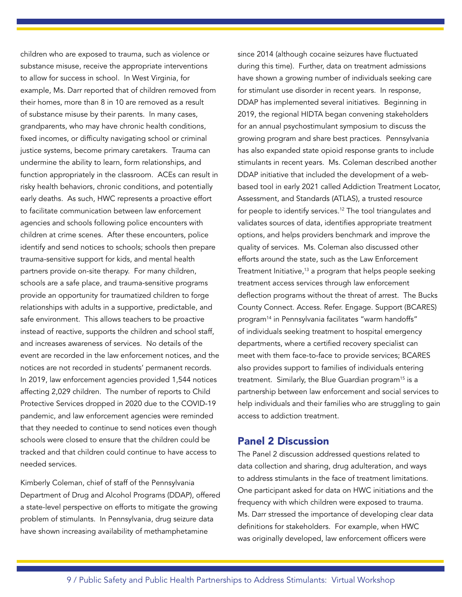children who are exposed to trauma, such as violence or substance misuse, receive the appropriate interventions to allow for success in school. In West Virginia, for example, Ms. Darr reported that of children removed from their homes, more than 8 in 10 are removed as a result of substance misuse by their parents. In many cases, grandparents, who may have chronic health conditions, fixed incomes, or difficulty navigating school or criminal justice systems, become primary caretakers. Trauma can undermine the ability to learn, form relationships, and function appropriately in the classroom. ACEs can result in risky health behaviors, chronic conditions, and potentially early deaths. As such, HWC represents a proactive effort to facilitate communication between law enforcement agencies and schools following police encounters with children at crime scenes. After these encounters, police identify and send notices to schools; schools then prepare trauma-sensitive support for kids, and mental health partners provide on-site therapy. For many children, schools are a safe place, and trauma-sensitive programs provide an opportunity for traumatized children to forge relationships with adults in a supportive, predictable, and safe environment. This allows teachers to be proactive instead of reactive, supports the children and school staff, and increases awareness of services. No details of the event are recorded in the law enforcement notices, and the notices are not recorded in students' permanent records. In 2019, law enforcement agencies provided 1,544 notices affecting 2,029 children. The number of reports to Child Protective Services dropped in 2020 due to the COVID-19 pandemic, and law enforcement agencies were reminded that they needed to continue to send notices even though schools were closed to ensure that the children could be tracked and that children could continue to have access to needed services.

Kimberly Coleman, chief of staff of the Pennsylvania Department of Drug and Alcohol Programs (DDAP), offered a state-level perspective on efforts to mitigate the growing problem of stimulants. In Pennsylvania, drug seizure data have shown increasing availability of methamphetamine

since 2014 (although cocaine seizures have fluctuated during this time). Further, data on treatment admissions have shown a growing number of individuals seeking care for stimulant use disorder in recent years. In response, DDAP has implemented several initiatives. Beginning in 2019, the regional HIDTA began convening stakeholders for an annual psychostimulant symposium to discuss the growing program and share best practices. Pennsylvania has also expanded state opioid response grants to include stimulants in recent years. Ms. Coleman described another DDAP initiative that included the development of a webbased tool in early 2021 called Addiction Treatment Locator, Assessment, and Standards (ATLAS), a trusted resource for people to identify services.<sup>12</sup> The tool triangulates and validates sources of data, identifies appropriate treatment options, and helps providers benchmark and improve the quality of services. Ms. Coleman also discussed other efforts around the state, such as the Law Enforcement Treatment Initiative,<sup>13</sup> a program that helps people seeking treatment access services through law enforcement deflection programs without the threat of arrest. The Bucks County Connect. Access. Refer. Engage. Support (BCARES) program14 in Pennsylvania facilitates "warm handoffs" of individuals seeking treatment to hospital emergency departments, where a certified recovery specialist can meet with them face-to-face to provide services; BCARES also provides support to families of individuals entering treatment. Similarly, the Blue Guardian program<sup>15</sup> is a partnership between law enforcement and social services to help individuals and their families who are struggling to gain access to addiction treatment.

## Panel 2 Discussion

The Panel 2 discussion addressed questions related to data collection and sharing, drug adulteration, and ways to address stimulants in the face of treatment limitations. One participant asked for data on HWC initiations and the frequency with which children were exposed to trauma. Ms. Darr stressed the importance of developing clear data definitions for stakeholders. For example, when HWC was originally developed, law enforcement officers were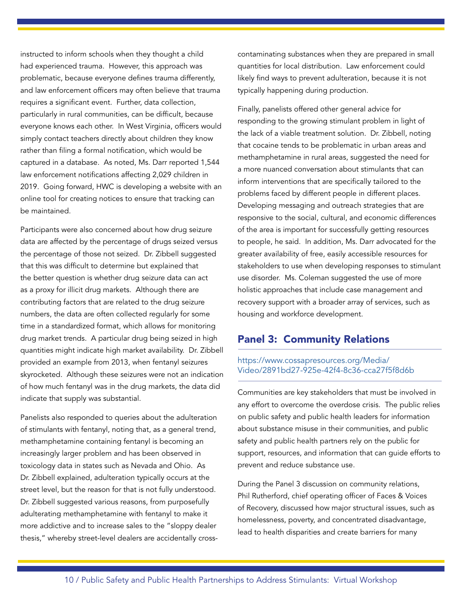instructed to inform schools when they thought a child had experienced trauma. However, this approach was problematic, because everyone defines trauma differently, and law enforcement officers may often believe that trauma requires a significant event. Further, data collection, particularly in rural communities, can be difficult, because everyone knows each other. In West Virginia, officers would simply contact teachers directly about children they know rather than filing a formal notification, which would be captured in a database. As noted, Ms. Darr reported 1,544 law enforcement notifications affecting 2,029 children in 2019. Going forward, HWC is developing a website with an online tool for creating notices to ensure that tracking can be maintained.

Participants were also concerned about how drug seizure data are affected by the percentage of drugs seized versus the percentage of those not seized. Dr. Zibbell suggested that this was difficult to determine but explained that the better question is whether drug seizure data can act as a proxy for illicit drug markets. Although there are contributing factors that are related to the drug seizure numbers, the data are often collected regularly for some time in a standardized format, which allows for monitoring drug market trends. A particular drug being seized in high quantities might indicate high market availability. Dr. Zibbell provided an example from 2013, when fentanyl seizures skyrocketed. Although these seizures were not an indication of how much fentanyl was in the drug markets, the data did indicate that supply was substantial.

Panelists also responded to queries about the adulteration of stimulants with fentanyl, noting that, as a general trend, methamphetamine containing fentanyl is becoming an increasingly larger problem and has been observed in toxicology data in states such as Nevada and Ohio. As Dr. Zibbell explained, adulteration typically occurs at the street level, but the reason for that is not fully understood. Dr. Zibbell suggested various reasons, from purposefully adulterating methamphetamine with fentanyl to make it more addictive and to increase sales to the "sloppy dealer thesis," whereby street-level dealers are accidentally crosscontaminating substances when they are prepared in small quantities for local distribution. Law enforcement could likely find ways to prevent adulteration, because it is not typically happening during production.

Finally, panelists offered other general advice for responding to the growing stimulant problem in light of the lack of a viable treatment solution. Dr. Zibbell, noting that cocaine tends to be problematic in urban areas and methamphetamine in rural areas, suggested the need for a more nuanced conversation about stimulants that can inform interventions that are specifically tailored to the problems faced by different people in different places. Developing messaging and outreach strategies that are responsive to the social, cultural, and economic differences of the area is important for successfully getting resources to people, he said. In addition, Ms. Darr advocated for the greater availability of free, easily accessible resources for stakeholders to use when developing responses to stimulant use disorder. Ms. Coleman suggested the use of more holistic approaches that include case management and recovery support with a broader array of services, such as housing and workforce development.

## Panel 3: Community Relations

#### [https://www.cossapresources.org/Media/](https://www.cossapresources.org/Media/Video/2891bd27-925e-42f4-8c36-cca27f5f8d6b) [Video/2891bd27-925e-42f4-8c36-cca27f5f8d6b](https://www.cossapresources.org/Media/Video/2891bd27-925e-42f4-8c36-cca27f5f8d6b)

Communities are key stakeholders that must be involved in any effort to overcome the overdose crisis. The public relies on public safety and public health leaders for information about substance misuse in their communities, and public safety and public health partners rely on the public for support, resources, and information that can guide efforts to prevent and reduce substance use.

During the Panel 3 discussion on community relations, Phil Rutherford, chief operating officer of Faces & Voices of Recovery, discussed how major structural issues, such as homelessness, poverty, and concentrated disadvantage, lead to health disparities and create barriers for many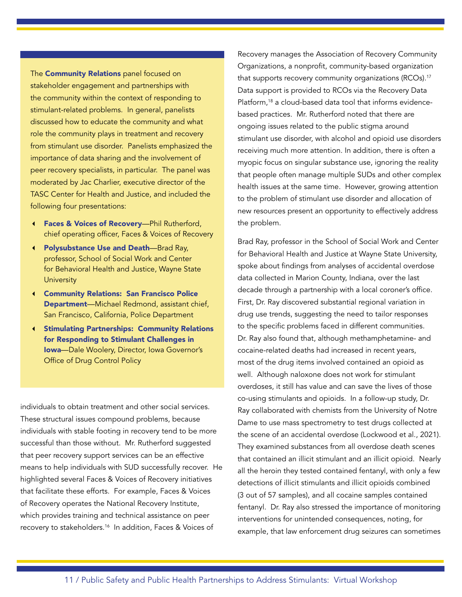The **Community Relations** panel focused on stakeholder engagement and partnerships with the community within the context of responding to stimulant-related problems. In general, panelists discussed how to educate the community and what role the community plays in treatment and recovery from stimulant use disorder. Panelists emphasized the importance of data sharing and the involvement of peer recovery specialists, in particular. The panel was moderated by Jac Charlier, executive director of the TASC Center for Health and Justice, and included the following four presentations:

- **f** Faces & Voices of Recovery-Phil Rutherford, chief operating officer, Faces & Voices of Recovery
- Polysubstance Use and Death—Brad Ray, professor, School of Social Work and Center for Behavioral Health and Justice, Wayne State **University**
- Community Relations: San Francisco Police Department—Michael Redmond, assistant chief, San Francisco, California, Police Department
- Stimulating Partnerships: Community Relations for Responding to Stimulant Challenges in Iowa—Dale Woolery, Director, Iowa Governor's Office of Drug Control Policy

individuals to obtain treatment and other social services. These structural issues compound problems, because individuals with stable footing in recovery tend to be more successful than those without. Mr. Rutherford suggested that peer recovery support services can be an effective means to help individuals with SUD successfully recover. He highlighted several Faces & Voices of Recovery initiatives that facilitate these efforts. For example, Faces & Voices of Recovery operates the National Recovery Institute, which provides training and technical assistance on peer recovery to stakeholders.16 In addition, Faces & Voices of

Recovery manages the Association of Recovery Community Organizations, a nonprofit, community-based organization that supports recovery community organizations (RCOs).<sup>17</sup> Data support is provided to RCOs via the Recovery Data Platform,18 a cloud-based data tool that informs evidencebased practices. Mr. Rutherford noted that there are ongoing issues related to the public stigma around stimulant use disorder, with alcohol and opioid use disorders receiving much more attention. In addition, there is often a myopic focus on singular substance use, ignoring the reality that people often manage multiple SUDs and other complex health issues at the same time. However, growing attention to the problem of stimulant use disorder and allocation of new resources present an opportunity to effectively address the problem.

Brad Ray, professor in the School of Social Work and Center for Behavioral Health and Justice at Wayne State University, spoke about findings from analyses of accidental overdose data collected in Marion County, Indiana, over the last decade through a partnership with a local coroner's office. First, Dr. Ray discovered substantial regional variation in drug use trends, suggesting the need to tailor responses to the specific problems faced in different communities. Dr. Ray also found that, although methamphetamine- and cocaine-related deaths had increased in recent years, most of the drug items involved contained an opioid as well. Although naloxone does not work for stimulant overdoses, it still has value and can save the lives of those co-using stimulants and opioids. In a follow-up study, Dr. Ray collaborated with chemists from the University of Notre Dame to use mass spectrometry to test drugs collected at the scene of an accidental overdose (Lockwood et al., 2021). They examined substances from all overdose death scenes that contained an illicit stimulant and an illicit opioid. Nearly all the heroin they tested contained fentanyl, with only a few detections of illicit stimulants and illicit opioids combined (3 out of 57 samples), and all cocaine samples contained fentanyl. Dr. Ray also stressed the importance of monitoring interventions for unintended consequences, noting, for example, that law enforcement drug seizures can sometimes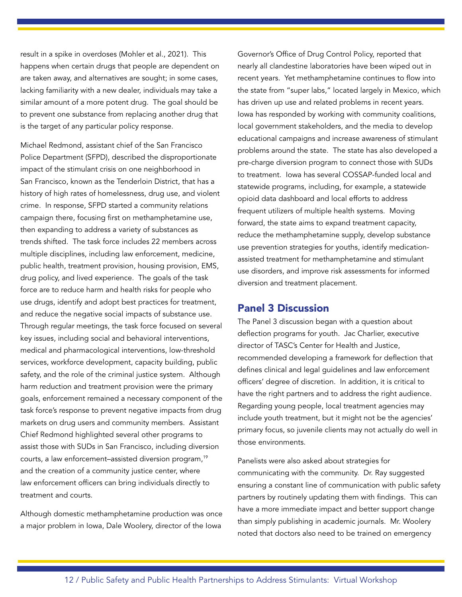result in a spike in overdoses (Mohler et al., 2021). This happens when certain drugs that people are dependent on are taken away, and alternatives are sought; in some cases, lacking familiarity with a new dealer, individuals may take a similar amount of a more potent drug. The goal should be to prevent one substance from replacing another drug that is the target of any particular policy response.

Michael Redmond, assistant chief of the San Francisco Police Department (SFPD), described the disproportionate impact of the stimulant crisis on one neighborhood in San Francisco, known as the Tenderloin District, that has a history of high rates of homelessness, drug use, and violent crime. In response, SFPD started a community relations campaign there, focusing first on methamphetamine use, then expanding to address a variety of substances as trends shifted. The task force includes 22 members across multiple disciplines, including law enforcement, medicine, public health, treatment provision, housing provision, EMS, drug policy, and lived experience. The goals of the task force are to reduce harm and health risks for people who use drugs, identify and adopt best practices for treatment, and reduce the negative social impacts of substance use. Through regular meetings, the task force focused on several key issues, including social and behavioral interventions, medical and pharmacological interventions, low-threshold services, workforce development, capacity building, public safety, and the role of the criminal justice system. Although harm reduction and treatment provision were the primary goals, enforcement remained a necessary component of the task force's response to prevent negative impacts from drug markets on drug users and community members. Assistant Chief Redmond highlighted several other programs to assist those with SUDs in San Francisco, including diversion courts, a law enforcement–assisted diversion program,19 and the creation of a community justice center, where law enforcement officers can bring individuals directly to treatment and courts.

Although domestic methamphetamine production was once a major problem in Iowa, Dale Woolery, director of the Iowa

Governor's Office of Drug Control Policy, reported that nearly all clandestine laboratories have been wiped out in recent years. Yet methamphetamine continues to flow into the state from "super labs," located largely in Mexico, which has driven up use and related problems in recent years. Iowa has responded by working with community coalitions, local government stakeholders, and the media to develop educational campaigns and increase awareness of stimulant problems around the state. The state has also developed a pre-charge diversion program to connect those with SUDs to treatment. Iowa has several COSSAP-funded local and statewide programs, including, for example, a statewide opioid data dashboard and local efforts to address frequent utilizers of multiple health systems. Moving forward, the state aims to expand treatment capacity, reduce the methamphetamine supply, develop substance use prevention strategies for youths, identify medicationassisted treatment for methamphetamine and stimulant use disorders, and improve risk assessments for informed diversion and treatment placement.

### Panel 3 Discussion

The Panel 3 discussion began with a question about deflection programs for youth. Jac Charlier, executive director of TASC's Center for Health and Justice, recommended developing a framework for deflection that defines clinical and legal guidelines and law enforcement officers' degree of discretion. In addition, it is critical to have the right partners and to address the right audience. Regarding young people, local treatment agencies may include youth treatment, but it might not be the agencies' primary focus, so juvenile clients may not actually do well in those environments.

Panelists were also asked about strategies for communicating with the community. Dr. Ray suggested ensuring a constant line of communication with public safety partners by routinely updating them with findings. This can have a more immediate impact and better support change than simply publishing in academic journals. Mr. Woolery noted that doctors also need to be trained on emergency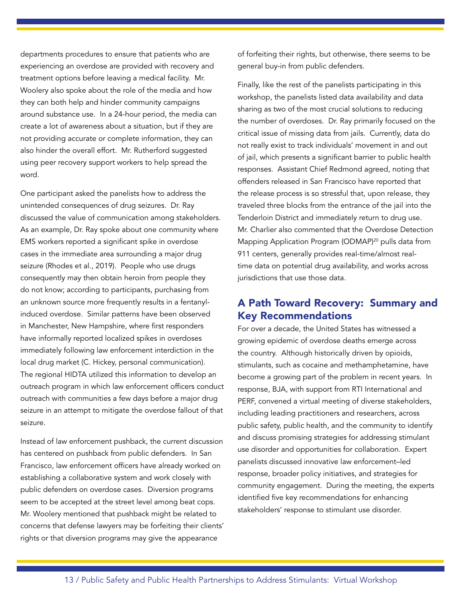departments procedures to ensure that patients who are experiencing an overdose are provided with recovery and treatment options before leaving a medical facility. Mr. Woolery also spoke about the role of the media and how they can both help and hinder community campaigns around substance use. In a 24-hour period, the media can create a lot of awareness about a situation, but if they are not providing accurate or complete information, they can also hinder the overall effort. Mr. Rutherford suggested using peer recovery support workers to help spread the word.

One participant asked the panelists how to address the unintended consequences of drug seizures. Dr. Ray discussed the value of communication among stakeholders. As an example, Dr. Ray spoke about one community where EMS workers reported a significant spike in overdose cases in the immediate area surrounding a major drug seizure (Rhodes et al., 2019). People who use drugs consequently may then obtain heroin from people they do not know; according to participants, purchasing from an unknown source more frequently results in a fentanylinduced overdose. Similar patterns have been observed in Manchester, New Hampshire, where first responders have informally reported localized spikes in overdoses immediately following law enforcement interdiction in the local drug market (C. Hickey, personal communication). The regional HIDTA utilized this information to develop an outreach program in which law enforcement officers conduct outreach with communities a few days before a major drug seizure in an attempt to mitigate the overdose fallout of that seizure.

Instead of law enforcement pushback, the current discussion has centered on pushback from public defenders. In San Francisco, law enforcement officers have already worked on establishing a collaborative system and work closely with public defenders on overdose cases. Diversion programs seem to be accepted at the street level among beat cops. Mr. Woolery mentioned that pushback might be related to concerns that defense lawyers may be forfeiting their clients' rights or that diversion programs may give the appearance

of forfeiting their rights, but otherwise, there seems to be general buy-in from public defenders.

Finally, like the rest of the panelists participating in this workshop, the panelists listed data availability and data sharing as two of the most crucial solutions to reducing the number of overdoses. Dr. Ray primarily focused on the critical issue of missing data from jails. Currently, data do not really exist to track individuals' movement in and out of jail, which presents a significant barrier to public health responses. Assistant Chief Redmond agreed, noting that offenders released in San Francisco have reported that the release process is so stressful that, upon release, they traveled three blocks from the entrance of the jail into the Tenderloin District and immediately return to drug use. Mr. Charlier also commented that the Overdose Detection Mapping Application Program (ODMAP)<sup>20</sup> pulls data from 911 centers, generally provides real-time/almost realtime data on potential drug availability, and works across jurisdictions that use those data.

## A Path Toward Recovery: Summary and Key Recommendations

For over a decade, the United States has witnessed a growing epidemic of overdose deaths emerge across the country. Although historically driven by opioids, stimulants, such as cocaine and methamphetamine, have become a growing part of the problem in recent years. In response, BJA, with support from RTI International and PERF, convened a virtual meeting of diverse stakeholders, including leading practitioners and researchers, across public safety, public health, and the community to identify and discuss promising strategies for addressing stimulant use disorder and opportunities for collaboration. Expert panelists discussed innovative law enforcement–led response, broader policy initiatives, and strategies for community engagement. During the meeting, the experts identified five key recommendations for enhancing stakeholders' response to stimulant use disorder.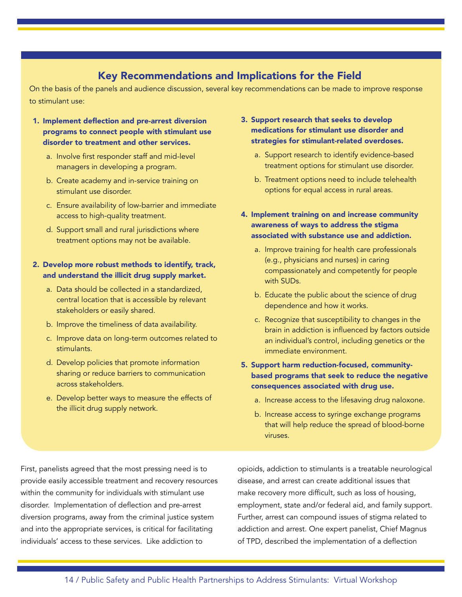## Key Recommendations and Implications for the Field

On the basis of the panels and audience discussion, several key recommendations can be made to improve response to stimulant use:

- 1. Implement deflection and pre-arrest diversion programs to connect people with stimulant use disorder to treatment and other services.
	- a. Involve first responder staff and mid-level managers in developing a program.
	- b. Create academy and in-service training on stimulant use disorder.
	- c. Ensure availability of low-barrier and immediate access to high-quality treatment.
	- d. Support small and rural jurisdictions where treatment options may not be available.

#### 2. Develop more robust methods to identify, track, and understand the illicit drug supply market.

- a. Data should be collected in a standardized, central location that is accessible by relevant stakeholders or easily shared.
- b. Improve the timeliness of data availability.
- c. Improve data on long-term outcomes related to stimulants.
- d. Develop policies that promote information sharing or reduce barriers to communication across stakeholders.
- e. Develop better ways to measure the effects of the illicit drug supply network.
- 3. Support research that seeks to develop medications for stimulant use disorder and strategies for stimulant-related overdoses.
	- a. Support research to identify evidence-based treatment options for stimulant use disorder.
	- b. Treatment options need to include telehealth options for equal access in rural areas.
- 4. Implement training on and increase community awareness of ways to address the stigma associated with substance use and addiction.
	- a. Improve training for health care professionals (e.g., physicians and nurses) in caring compassionately and competently for people with SUDs.
	- b. Educate the public about the science of drug dependence and how it works.
	- c. Recognize that susceptibility to changes in the brain in addiction is influenced by factors outside an individual's control, including genetics or the immediate environment.
- 5. Support harm reduction-focused, communitybased programs that seek to reduce the negative consequences associated with drug use.
	- a. Increase access to the lifesaving drug naloxone.
	- b. Increase access to syringe exchange programs that will help reduce the spread of blood-borne viruses.

First, panelists agreed that the most pressing need is to provide easily accessible treatment and recovery resources within the community for individuals with stimulant use disorder. Implementation of deflection and pre-arrest diversion programs, away from the criminal justice system and into the appropriate services, is critical for facilitating individuals' access to these services. Like addiction to

opioids, addiction to stimulants is a treatable neurological disease, and arrest can create additional issues that make recovery more difficult, such as loss of housing, employment, state and/or federal aid, and family support. Further, arrest can compound issues of stigma related to addiction and arrest. One expert panelist, Chief Magnus of TPD, described the implementation of a deflection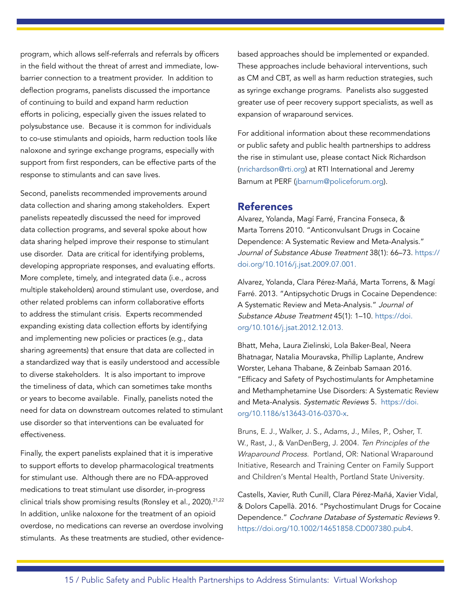program, which allows self-referrals and referrals by officers in the field without the threat of arrest and immediate, lowbarrier connection to a treatment provider. In addition to deflection programs, panelists discussed the importance of continuing to build and expand harm reduction efforts in policing, especially given the issues related to polysubstance use. Because it is common for individuals to co-use stimulants and opioids, harm reduction tools like naloxone and syringe exchange programs, especially with support from first responders, can be effective parts of the response to stimulants and can save lives.

Second, panelists recommended improvements around data collection and sharing among stakeholders. Expert panelists repeatedly discussed the need for improved data collection programs, and several spoke about how data sharing helped improve their response to stimulant use disorder. Data are critical for identifying problems, developing appropriate responses, and evaluating efforts. More complete, timely, and integrated data (i.e., across multiple stakeholders) around stimulant use, overdose, and other related problems can inform collaborative efforts to address the stimulant crisis. Experts recommended expanding existing data collection efforts by identifying and implementing new policies or practices (e.g., data sharing agreements) that ensure that data are collected in a standardized way that is easily understood and accessible to diverse stakeholders. It is also important to improve the timeliness of data, which can sometimes take months or years to become available. Finally, panelists noted the need for data on downstream outcomes related to stimulant use disorder so that interventions can be evaluated for effectiveness.

Finally, the expert panelists explained that it is imperative to support efforts to develop pharmacological treatments for stimulant use. Although there are no FDA-approved medications to treat stimulant use disorder, in-progress clinical trials show promising results (Ronsley et al., 2020).<sup>21,22</sup> In addition, unlike naloxone for the treatment of an opioid overdose, no medications can reverse an overdose involving stimulants. As these treatments are studied, other evidencebased approaches should be implemented or expanded. These approaches include behavioral interventions, such as CM and CBT, as well as harm reduction strategies, such as syringe exchange programs. Panelists also suggested greater use of peer recovery support specialists, as well as expansion of wraparound services.

For additional information about these recommendations or public safety and public health partnerships to address the rise in stimulant use, please contact Nick Richardson ([nrichardson@rti.org](mailto:nrichardson%40rti.org?subject=)) at RTI International and Jeremy Barnum at PERF [\(jbarnum@policeforum.org\)](mailto:jbarnum%40policeforum.org?subject=).

## References

Alvarez, Yolanda, Magí Farré, Francina Fonseca, & Marta Torrens 2010. "Anticonvulsant Drugs in Cocaine Dependence: A Systematic Review and Meta-Analysis." Journal of Substance Abuse Treatment 38(1): 66–73. [https://](https://doi.org/10.1016/j.jsat.2009.07.001) [doi.org/10.1016/j.jsat.2009.07.001.](https://doi.org/10.1016/j.jsat.2009.07.001)

Alvarez, Yolanda, Clara Pérez-Mañá, Marta Torrens, & Magí Farré. 2013. "Antipsychotic Drugs in Cocaine Dependence: A Systematic Review and Meta-Analysis." Journal of Substance Abuse Treatment 45(1): 1-10. [https://doi.](https://doi.org/10.1016/j.jsat.2012.12.013) [org/10.1016/j.jsat.2012.12.013](https://doi.org/10.1016/j.jsat.2012.12.013).

Bhatt, Meha, Laura Zielinski, Lola Baker-Beal, Neera Bhatnagar, Natalia Mouravska, Phillip Laplante, Andrew Worster, Lehana Thabane, & Zeinbab Samaan 2016. "Efficacy and Safety of Psychostimulants for Amphetamine and Methamphetamine Use Disorders: A Systematic Review and Meta-Analysis. Systematic Reviews 5. [https://doi.](https://doi.org/10.1186/s13643-016-0370-x) [org/10.1186/s13643-016-0370-x.](https://doi.org/10.1186/s13643-016-0370-x)

Bruns, E. J., Walker, J. S., Adams, J., Miles, P., Osher, T. W., Rast, J., & VanDenBerg, J. 2004. Ten Principles of the Wraparound Process. Portland, OR: National Wraparound Initiative, Research and Training Center on Family Support and Children's Mental Health, Portland State University.

Castells, Xavier, Ruth Cunill, Clara Pérez-Mañá, Xavier Vidal, & Dolors Capellà. 2016. "Psychostimulant Drugs for Cocaine Dependence." Cochrane Database of Systematic Reviews 9. [https://doi.org/10.1002/14651858.CD007380.pub4.](https://doi.org/10.1002/14651858.CD007380.pub4)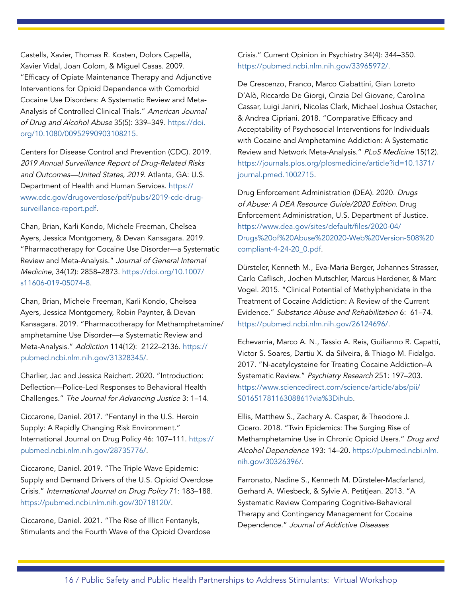Castells, Xavier, Thomas R. Kosten, Dolors Capellà, Xavier Vidal, Joan Colom, & Miguel Casas. 2009. "Efficacy of Opiate Maintenance Therapy and Adjunctive Interventions for Opioid Dependence with Comorbid Cocaine Use Disorders: A Systematic Review and Meta-Analysis of Controlled Clinical Trials." American Journal of Drug and Alcohol Abuse 35(5): 339-349. [https://doi.](https://doi.org/10.1080/00952990903108215) [org/10.1080/00952990903108215](https://doi.org/10.1080/00952990903108215).

Centers for Disease Control and Prevention (CDC). 2019. 2019 Annual Surveillance Report of Drug-Related Risks and Outcomes—United States, 2019. Atlanta, GA: U.S. Department of Health and Human Services. [https://](https://www.cdc.gov/drugoverdose/pdf/pubs/2019-cdc-drug-surveillance-report.pdf) [www.cdc.gov/drugoverdose/pdf/pubs/2019-cdc-drug](https://www.cdc.gov/drugoverdose/pdf/pubs/2019-cdc-drug-surveillance-report.pdf)[surveillance-report.pdf.](https://www.cdc.gov/drugoverdose/pdf/pubs/2019-cdc-drug-surveillance-report.pdf)

Chan, Brian, Karli Kondo, Michele Freeman, Chelsea Ayers, Jessica Montgomery, & Devan Kansagara. 2019. "Pharmacotherapy for Cocaine Use Disorder—a Systematic Review and Meta-Analysis." Journal of General Internal Medicine, 34(12): 2858–2873. [https://doi.org/10.1007/](https://doi.org/10.1007/s11606-019-05074-8) [s11606-019-05074-8](https://doi.org/10.1007/s11606-019-05074-8).

Chan, Brian, Michele Freeman, Karli Kondo, Chelsea Ayers, Jessica Montgomery, Robin Paynter, & Devan Kansagara. 2019. "Pharmacotherapy for Methamphetamine/ amphetamine Use Disorder—a Systematic Review and Meta-Analysis." Addiction 114(12): 2122–2136. [https://](https://pubmed.ncbi.nlm.nih.gov/31328345/) [pubmed.ncbi.nlm.nih.gov/31328345/.](https://pubmed.ncbi.nlm.nih.gov/31328345/)

Charlier, Jac and Jessica Reichert. 2020. "Introduction: Deflection—Police-Led Responses to Behavioral Health Challenges." The Journal for Advancing Justice 3: 1–14.

Ciccarone, Daniel. 2017. "Fentanyl in the U.S. Heroin Supply: A Rapidly Changing Risk Environment." International Journal on Drug Policy 46: 107–111. [https://](https://pubmed.ncbi.nlm.nih.gov/28735776/) [pubmed.ncbi.nlm.nih.gov/28735776/.](https://pubmed.ncbi.nlm.nih.gov/28735776/)

Ciccarone, Daniel. 2019. "The Triple Wave Epidemic: Supply and Demand Drivers of the U.S. Opioid Overdose Crisis." International Journal on Drug Policy 71: 183–188. <https://pubmed.ncbi.nlm.nih.gov/30718120/>.

Ciccarone, Daniel. 2021. "The Rise of Illicit Fentanyls, Stimulants and the Fourth Wave of the Opioid Overdose Crisis." Current Opinion in Psychiatry 34(4): 344–350. <https://pubmed.ncbi.nlm.nih.gov/33965972/>.

De Crescenzo, Franco, Marco Ciabattini, Gian Loreto D'Alò, Riccardo De Giorgi, Cinzia Del Giovane, Carolina Cassar, Luigi Janiri, Nicolas Clark, Michael Joshua Ostacher, & Andrea Cipriani. 2018. "Comparative Efficacy and Acceptability of Psychosocial Interventions for Individuals with Cocaine and Amphetamine Addiction: A Systematic Review and Network Meta-Analysis." PLoS Medicine 15(12). [https://journals.plos.org/plosmedicine/article?id=10.1371/](https://journals.plos.org/plosmedicine/article?id=10.1371/journal.pmed.1002715) [journal.pmed.1002715](https://journals.plos.org/plosmedicine/article?id=10.1371/journal.pmed.1002715).

Drug Enforcement Administration (DEA). 2020. Drugs of Abuse: A DEA Resource Guide/2020 Edition. Drug Enforcement Administration, U.S. Department of Justice. [https://www.dea.gov/sites/default/files/2020-04/](https://www.dea.gov/sites/default/files/2020-04/Drugs%20of%20Abuse%202020-Web%20Version-508%20compliant-4-24-20_0.pdf) [Drugs%20of%20Abuse%202020-Web%20Version-508%20](https://www.dea.gov/sites/default/files/2020-04/Drugs%20of%20Abuse%202020-Web%20Version-508%20compliant-4-24-20_0.pdf) [compliant-4-24-20\\_0.pdf.](https://www.dea.gov/sites/default/files/2020-04/Drugs%20of%20Abuse%202020-Web%20Version-508%20compliant-4-24-20_0.pdf)

Dürsteler, Kenneth M., Eva-Maria Berger, Johannes Strasser, Carlo Caflisch, Jochen Mutschler, Marcus Herdener, & Marc Vogel. 2015. "Clinical Potential of Methylphenidate in the Treatment of Cocaine Addiction: A Review of the Current Evidence." Substance Abuse and Rehabilitation 6: 61–74. <https://pubmed.ncbi.nlm.nih.gov/26124696/>.

Echevarria, Marco A. N., Tassio A. Reis, Guilianno R. Capatti, Victor S. Soares, Dartiu X. da Silveira, & Thiago M. Fidalgo. 2017. "N-acetylcysteine for Treating Cocaine Addiction–A Systematic Review." Psychiatry Research 251: 197–203. [https://www.sciencedirect.com/science/article/abs/pii/](https://www.sciencedirect.com/science/article/abs/pii/S0165178116308861?via%3Dihub) [S0165178116308861?via%3Dihub.](https://www.sciencedirect.com/science/article/abs/pii/S0165178116308861?via%3Dihub)

Ellis, Matthew S., Zachary A. Casper, & Theodore J. Cicero. 2018. "Twin Epidemics: The Surging Rise of Methamphetamine Use in Chronic Opioid Users." Drug and Alcohol Dependence 193: 14–20. [https://pubmed.ncbi.nlm.](https://pubmed.ncbi.nlm.nih.gov/30326396/) [nih.gov/30326396/](https://pubmed.ncbi.nlm.nih.gov/30326396/).

Farronato, Nadine S., Kenneth M. Dürsteler-Macfarland, Gerhard A. Wiesbeck, & Sylvie A. Petitjean. 2013. "A Systematic Review Comparing Cognitive-Behavioral Therapy and Contingency Management for Cocaine Dependence." Journal of Addictive Diseases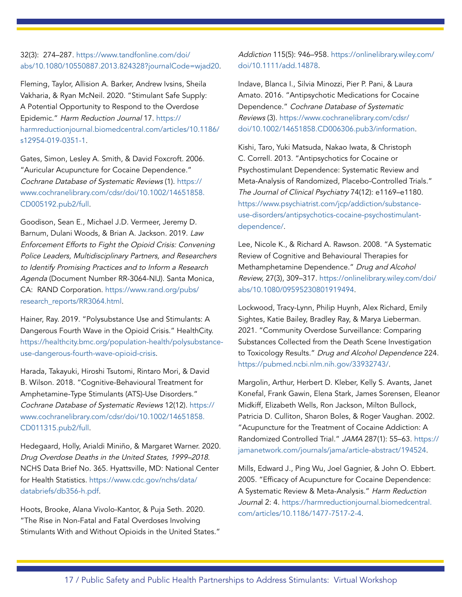#### 32(3): 274–287. [https://www.tandfonline.com/doi/](https://www.tandfonline.com/doi/abs/10.1080/10550887.2013.824328?journalCode=wjad20) [abs/10.1080/10550887.2013.824328?journalCode=wjad20](https://www.tandfonline.com/doi/abs/10.1080/10550887.2013.824328?journalCode=wjad20).

Fleming, Taylor, Allision A. Barker, Andrew Ivsins, Sheila Vakharia, & Ryan McNeil. 2020. "Stimulant Safe Supply: A Potential Opportunity to Respond to the Overdose Epidemic." Harm Reduction Journal 17. [https://](https://harmreductionjournal.biomedcentral.com/articles/10.1186/s12954-019-0351-1) [harmreductionjournal.biomedcentral.com/articles/10.1186/](https://harmreductionjournal.biomedcentral.com/articles/10.1186/s12954-019-0351-1) [s12954-019-0351-1.](https://harmreductionjournal.biomedcentral.com/articles/10.1186/s12954-019-0351-1)

Gates, Simon, Lesley A. Smith, & David Foxcroft. 2006. "Auricular Acupuncture for Cocaine Dependence." Cochrane Database of Systematic Reviews (1). [https://](https://www.cochranelibrary.com/cdsr/doi/10.1002/14651858.CD005192.pub2/full) [www.cochranelibrary.com/cdsr/doi/10.1002/14651858.](https://www.cochranelibrary.com/cdsr/doi/10.1002/14651858.CD005192.pub2/full) [CD005192.pub2/full.](https://www.cochranelibrary.com/cdsr/doi/10.1002/14651858.CD005192.pub2/full)

Goodison, Sean E., Michael J.D. Vermeer, Jeremy D. Barnum, Dulani Woods, & Brian A. Jackson. 2019. Law Enforcement Efforts to Fight the Opioid Crisis: Convening Police Leaders, Multidisciplinary Partners, and Researchers to Identify Promising Practices and to Inform a Research Agenda (Document Number RR-3064-NIJ). Santa Monica, CA: RAND Corporation. [https://www.rand.org/pubs/](https://www.rand.org/pubs/research_reports/RR3064.html) [research\\_reports/RR3064.html](https://www.rand.org/pubs/research_reports/RR3064.html).

Hainer, Ray. 2019. "Polysubstance Use and Stimulants: A Dangerous Fourth Wave in the Opioid Crisis." HealthCity. [https://healthcity.bmc.org/population-health/polysubstance](https://healthcity.bmc.org/population-health/polysubstance-use-dangerous-fourth-wave-opioid-crisis)[use-dangerous-fourth-wave-opioid-crisis](https://healthcity.bmc.org/population-health/polysubstance-use-dangerous-fourth-wave-opioid-crisis).

Harada, Takayuki, Hiroshi Tsutomi, Rintaro Mori, & David B. Wilson. 2018. "Cognitive-Behavioural Treatment for Amphetamine-Type Stimulants (ATS)-Use Disorders." Cochrane Database of Systematic Reviews 12(12). [https://](https://www.cochranelibrary.com/cdsr/doi/10.1002/14651858.CD011315.pub2/full) [www.cochranelibrary.com/cdsr/doi/10.1002/14651858.](https://www.cochranelibrary.com/cdsr/doi/10.1002/14651858.CD011315.pub2/full) [CD011315.pub2/full.](https://www.cochranelibrary.com/cdsr/doi/10.1002/14651858.CD011315.pub2/full)

Hedegaard, Holly, Arialdi Miniño, & Margaret Warner. 2020. Drug Overdose Deaths in the United States, 1999–2018. NCHS Data Brief No. 365. Hyattsville, MD: National Center for Health Statistics. [https://www.cdc.gov/nchs/data/](https://www.cdc.gov/nchs/data/databriefs/db356-h.pdf) [databriefs/db356-h.pdf.](https://www.cdc.gov/nchs/data/databriefs/db356-h.pdf)

Hoots, Brooke, Alana Vivolo-Kantor, & Puja Seth. 2020. "The Rise in Non-Fatal and Fatal Overdoses Involving Stimulants With and Without Opioids in the United States." Addiction 115(5): 946-958. [https://onlinelibrary.wiley.com/](https://onlinelibrary.wiley.com/doi/10.1111/add.14878) [doi/10.1111/add.14878.](https://onlinelibrary.wiley.com/doi/10.1111/add.14878)

Indave, Blanca I., Silvia Minozzi, Pier P. Pani, & Laura Amato. 2016. "Antipsychotic Medications for Cocaine Dependence." Cochrane Database of Systematic Reviews (3). [https://www.cochranelibrary.com/cdsr/](https://www.cochranelibrary.com/cdsr/doi/10.1002/14651858.CD006306.pub3/information) [doi/10.1002/14651858.CD006306.pub3/information.](https://www.cochranelibrary.com/cdsr/doi/10.1002/14651858.CD006306.pub3/information)

Kishi, Taro, Yuki Matsuda, Nakao Iwata, & Christoph C. Correll. 2013. "Antipsychotics for Cocaine or Psychostimulant Dependence: Systematic Review and Meta-Analysis of Randomized, Placebo-Controlled Trials." The Journal of Clinical Psychiatry 74(12): e1169–e1180. [https://www.psychiatrist.com/jcp/addiction/substance](https://www.psychiatrist.com/jcp/addiction/substance-use-disorders/antipsychotics-cocaine-psychostim)[use-disorders/antipsychotics-cocaine-psychostimulant](https://www.psychiatrist.com/jcp/addiction/substance-use-disorders/antipsychotics-cocaine-psychostim)[dependence/.](https://www.psychiatrist.com/jcp/addiction/substance-use-disorders/antipsychotics-cocaine-psychostim)

Lee, Nicole K., & Richard A. Rawson. 2008. "A Systematic Review of Cognitive and Behavioural Therapies for Methamphetamine Dependence." Drug and Alcohol Review, 27(3), 309–317. [https://onlinelibrary.wiley.com/doi/](https://onlinelibrary.wiley.com/doi/abs/10.1080/09595230801919494) [abs/10.1080/09595230801919494](https://onlinelibrary.wiley.com/doi/abs/10.1080/09595230801919494).

Lockwood, Tracy-Lynn, Philip Huynh, Alex Richard, Emily Sightes, Katie Bailey, Bradley Ray, & Marya Lieberman. 2021. "Community Overdose Surveillance: Comparing Substances Collected from the Death Scene Investigation to Toxicology Results." Drug and Alcohol Dependence 224. <https://pubmed.ncbi.nlm.nih.gov/33932743/>.

Margolin, Arthur, Herbert D. Kleber, Kelly S. Avants, Janet Konefal, Frank Gawin, Elena Stark, James Sorensen, Eleanor Midkiff, Elizabeth Wells, Ron Jackson, Milton Bullock, Patricia D. Culliton, Sharon Boles, & Roger Vaughan. 2002. "Acupuncture for the Treatment of Cocaine Addiction: A Randomized Controlled Trial." JAMA 287(1): 55–63. [https://](https://jamanetwork.com/journals/jama/article-abstract/194524) [jamanetwork.com/journals/jama/article-abstract/194524.](https://jamanetwork.com/journals/jama/article-abstract/194524)

Mills, Edward J., Ping Wu, Joel Gagnier, & John O. Ebbert. 2005. "Efficacy of Acupuncture for Cocaine Dependence: A Systematic Review & Meta-Analysis." Harm Reduction Journal 2: 4. [https://harmreductionjournal.biomedcentral.](https://harmreductionjournal.biomedcentral.com/articles/10.1186/1477-7517-2-4) [com/articles/10.1186/1477-7517-2-4](https://harmreductionjournal.biomedcentral.com/articles/10.1186/1477-7517-2-4).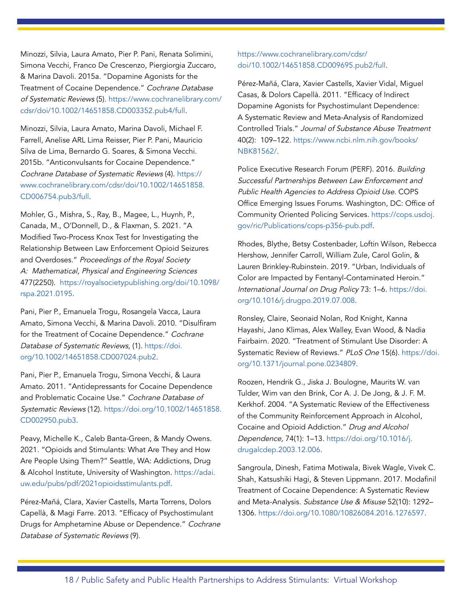Minozzi, Silvia, Laura Amato, Pier P. Pani, Renata Solimini, Simona Vecchi, Franco De Crescenzo, Piergiorgia Zuccaro, & Marina Davoli. 2015a. "Dopamine Agonists for the Treatment of Cocaine Dependence." Cochrane Database of Systematic Reviews (5). [https://www.cochranelibrary.com/](https://www.cochranelibrary.com/cdsr/doi/10.1002/14651858.CD003352.pub4/full) [cdsr/doi/10.1002/14651858.CD003352.pub4/full](https://www.cochranelibrary.com/cdsr/doi/10.1002/14651858.CD003352.pub4/full).

Minozzi, Silvia, Laura Amato, Marina Davoli, Michael F. Farrell, Anelise ARL Lima Reisser, Pier P. Pani, Mauricio Silva de Lima, Bernardo G. Soares, & Simona Vecchi. 2015b. "Anticonvulsants for Cocaine Dependence." Cochrane Database of Systematic Reviews (4). [https://](https://www.cochranelibrary.com/cdsr/doi/10.1002/14651858.CD006754.pub3/full) [www.cochranelibrary.com/cdsr/doi/10.1002/14651858.](https://www.cochranelibrary.com/cdsr/doi/10.1002/14651858.CD006754.pub3/full) [CD006754.pub3/full.](https://www.cochranelibrary.com/cdsr/doi/10.1002/14651858.CD006754.pub3/full)

Mohler, G., Mishra, S., Ray, B., Magee, L., Huynh, P., Canada, M., O'Donnell, D., & Flaxman, S. 2021. "A Modified Two-Process Knox Test for Investigating the Relationship Between Law Enforcement Opioid Seizures and Overdoses." Proceedings of the Royal Society A: Mathematical, Physical and Engineering Sciences 477(2250). [https://royalsocietypublishing.org/doi/10.1098/](https://royalsocietypublishing.org/doi/10.1098/rspa.2021.0195) [rspa.2021.0195.](https://royalsocietypublishing.org/doi/10.1098/rspa.2021.0195)

Pani, Pier P., Emanuela Trogu, Rosangela Vacca, Laura Amato, Simona Vecchi, & Marina Davoli. 2010. "Disulfiram for the Treatment of Cocaine Dependence." Cochrane Database of Systematic Reviews, (1). [https://doi.](https://doi.org/10.1002/14651858.CD007024.pub2) [org/10.1002/14651858.CD007024.pub2.](https://doi.org/10.1002/14651858.CD007024.pub2)

Pani, Pier P., Emanuela Trogu, Simona Vecchi, & Laura Amato. 2011. "Antidepressants for Cocaine Dependence and Problematic Cocaine Use." Cochrane Database of Systematic Reviews (12). [https://doi.org/10.1002/14651858.](https://doi.org/10.1002/14651858.CD002950.pub3) [CD002950.pub3.](https://doi.org/10.1002/14651858.CD002950.pub3)

Peavy, Michelle K., Caleb Banta-Green, & Mandy Owens. 2021. "Opioids and Stimulants: What Are They and How Are People Using Them?" Seattle, WA: Addictions, Drug & Alcohol Institute, University of Washington. [https://adai.](https://adai.uw.edu/pubs/pdf/2021opioidsstimulants.pdf) [uw.edu/pubs/pdf/2021opioidsstimulants.pdf.](https://adai.uw.edu/pubs/pdf/2021opioidsstimulants.pdf)

Pérez-Mañá, Clara, Xavier Castells, Marta Torrens, Dolors Capellà, & Magi Farre. 2013. "Efficacy of Psychostimulant Drugs for Amphetamine Abuse or Dependence." Cochrane Database of Systematic Reviews (9).

## [https://www.cochranelibrary.com/cdsr/](https://www.cochranelibrary.com/cdsr/doi/10.1002/14651858.CD009695.pub2/full) [doi/10.1002/14651858.CD009695.pub2/full](https://www.cochranelibrary.com/cdsr/doi/10.1002/14651858.CD009695.pub2/full).

Pérez-Mañá, Clara, Xavier Castells, Xavier Vidal, Miguel Casas, & Dolors Capellà. 2011. "Efficacy of Indirect Dopamine Agonists for Psychostimulant Dependence: A Systematic Review and Meta-Analysis of Randomized Controlled Trials." Journal of Substance Abuse Treatment 40(2): 109–122. [https://www.ncbi.nlm.nih.gov/books/](https://www.ncbi.nlm.nih.gov/books/NBK81562/) [NBK81562/.](https://www.ncbi.nlm.nih.gov/books/NBK81562/)

Police Executive Research Forum (PERF). 2016. Building Successful Partnerships Between Law Enforcement and Public Health Agencies to Address Opioid Use. COPS Office Emerging Issues Forums. Washington, DC: Office of Community Oriented Policing Services. [https://cops.usdoj.](https://cops.usdoj.gov/ric/Publications/cops-p356-pub.pdf) [gov/ric/Publications/cops-p356-pub.pdf](https://cops.usdoj.gov/ric/Publications/cops-p356-pub.pdf).

Rhodes, Blythe, Betsy Costenbader, Loftin Wilson, Rebecca Hershow, Jennifer Carroll, William Zule, Carol Golin, & Lauren Brinkley-Rubinstein. 2019. "Urban, Individuals of Color are Impacted by Fentanyl-Contaminated Heroin." International Journal on Drug Policy 73: 1–6. [https://doi.](https://doi.org/10.1016/j.drugpo.2019.07.008) [org/10.1016/j.drugpo.2019.07.008](https://doi.org/10.1016/j.drugpo.2019.07.008).

Ronsley, Claire, Seonaid Nolan, Rod Knight, Kanna Hayashi, Jano Klimas, Alex Walley, Evan Wood, & Nadia Fairbairn. 2020. "Treatment of Stimulant Use Disorder: A Systematic Review of Reviews." PLoS One 15(6). [https://doi.](https://doi.org/10.1371/journal.pone.0234809) [org/10.1371/journal.pone.0234809.](https://doi.org/10.1371/journal.pone.0234809)

Roozen, Hendrik G., Jiska J. Boulogne, Maurits W. van Tulder, Wim van den Brink, Cor A. J. De Jong, & J. F. M. Kerkhof. 2004. "A Systematic Review of the Effectiveness of the Community Reinforcement Approach in Alcohol, Cocaine and Opioid Addiction." Drug and Alcohol Dependence, 74(1): 1–13. [https://doi.org/10.1016/j.](https://doi.org/10.1016/j.drugalcdep.2003.12.006) [drugalcdep.2003.12.006.](https://doi.org/10.1016/j.drugalcdep.2003.12.006)

Sangroula, Dinesh, Fatima Motiwala, Bivek Wagle, Vivek C. Shah, Katsushiki Hagi, & Steven Lippmann. 2017. Modafinil Treatment of Cocaine Dependence: A Systematic Review and Meta-Analysis. Substance Use & Misuse 52(10): 1292– 1306. [https://doi.org/10.1080/10826084.2016.1276597.](https://doi.org/10.1080/10826084.2016.1276597)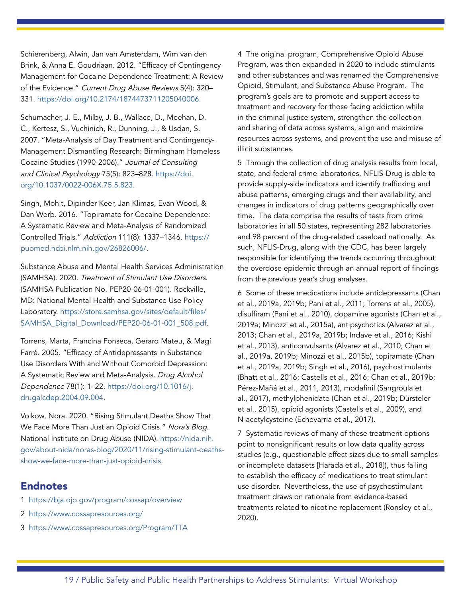Schierenberg, Alwin, Jan van Amsterdam, Wim van den Brink, & Anna E. Goudriaan. 2012. "Efficacy of Contingency Management for Cocaine Dependence Treatment: A Review of the Evidence." Current Drug Abuse Reviews 5(4): 320– 331. [https://doi.org/10.2174/1874473711205040006.](https://doi.org/10.2174/1874473711205040006)

Schumacher, J. E., Milby, J. B., Wallace, D., Meehan, D. C., Kertesz, S., Vuchinich, R., Dunning, J., & Usdan, S. 2007. "Meta-Analysis of Day Treatment and Contingency-Management Dismantling Research: Birmingham Homeless Cocaine Studies (1990-2006)." Journal of Consulting and Clinical Psychology 75(5): 823–828. [https://doi.](https://doi.org/10.1037/0022-006X.75.5.823) [org/10.1037/0022-006X.75.5.823](https://doi.org/10.1037/0022-006X.75.5.823).

Singh, Mohit, Dipinder Keer, Jan Klimas, Evan Wood, & Dan Werb. 2016. "Topiramate for Cocaine Dependence: A Systematic Review and Meta-Analysis of Randomized Controlled Trials." Addiction 111(8): 1337–1346. [https://](https://pubmed.ncbi.nlm.nih.gov/26826006/) [pubmed.ncbi.nlm.nih.gov/26826006/.](https://pubmed.ncbi.nlm.nih.gov/26826006/)

Substance Abuse and Mental Health Services Administration (SAMHSA). 2020. Treatment of Stimulant Use Disorders. (SAMHSA Publication No. PEP20-06-01-001). Rockville, MD: National Mental Health and Substance Use Policy Laboratory. [https://store.samhsa.gov/sites/default/files/](https://store.samhsa.gov/sites/default/files/SAMHSA_Digital_Download/PEP20-06-01-001_508.pdf) [SAMHSA\\_Digital\\_Download/PEP20-06-01-001\\_508.pdf.](https://store.samhsa.gov/sites/default/files/SAMHSA_Digital_Download/PEP20-06-01-001_508.pdf)

Torrens, Marta, Francina Fonseca, Gerard Mateu, & Magí Farré. 2005. "Efficacy of Antidepressants in Substance Use Disorders With and Without Comorbid Depression: A Systematic Review and Meta-Analysis. Drug Alcohol Dependence 78(1): 1–22. [https://doi.org/10.1016/j.](https://doi.org/10.1016/j.drugalcdep.2004.09.004) [drugalcdep.2004.09.004.](https://doi.org/10.1016/j.drugalcdep.2004.09.004)

Volkow, Nora. 2020. "Rising Stimulant Deaths Show That We Face More Than Just an Opioid Crisis." Nora's Blog. National Institute on Drug Abuse (NIDA). [https://nida.nih.](https://nida.nih.gov/about-nida/noras-blog/2020/11/rising-stimulant-deaths-show-we-face-more-than-just-opioid-crisis) [gov/about-nida/noras-blog/2020/11/rising-stimulant-deaths](https://nida.nih.gov/about-nida/noras-blog/2020/11/rising-stimulant-deaths-show-we-face-more-than-just-opioid-crisis)[show-we-face-more-than-just-opioid-crisis](https://nida.nih.gov/about-nida/noras-blog/2020/11/rising-stimulant-deaths-show-we-face-more-than-just-opioid-crisis).

## **Endnotes**

- 1 <https://bja.ojp.gov/program/cossap/overview>
- 2 <https://www.cossapresources.org/>
- 3 <https://www.cossapresources.org/Program/TTA>

4 The original program, Comprehensive Opioid Abuse Program, was then expanded in 2020 to include stimulants and other substances and was renamed the Comprehensive Opioid, Stimulant, and Substance Abuse Program. The program's goals are to promote and support access to treatment and recovery for those facing addiction while in the criminal justice system, strengthen the collection and sharing of data across systems, align and maximize resources across systems, and prevent the use and misuse of illicit substances.

5 Through the collection of drug analysis results from local, state, and federal crime laboratories, NFLIS-Drug is able to provide supply-side indicators and identify trafficking and abuse patterns, emerging drugs and their availability, and changes in indicators of drug patterns geographically over time. The data comprise the results of tests from crime laboratories in all 50 states, representing 282 laboratories and 98 percent of the drug-related caseload nationally. As such, NFLIS-Drug, along with the CDC, has been largely responsible for identifying the trends occurring throughout the overdose epidemic through an annual report of findings from the previous year's drug analyses.

6 Some of these medications include antidepressants (Chan et al., 2019a, 2019b; Pani et al., 2011; Torrens et al., 2005), disulfiram (Pani et al., 2010), dopamine agonists (Chan et al., 2019a; Minozzi et al., 2015a), antipsychotics (Alvarez et al., 2013; Chan et al., 2019a, 2019b; Indave et al., 2016; Kishi et al., 2013), anticonvulsants (Alvarez et al., 2010; Chan et al., 2019a, 2019b; Minozzi et al., 2015b), topiramate (Chan et al., 2019a, 2019b; Singh et al., 2016), psychostimulants (Bhatt et al., 2016; Castells et al., 2016; Chan et al., 2019b; Pérez-Mañá et al., 2011, 2013), modafinil (Sangroula et al., 2017), methylphenidate (Chan et al., 2019b; Dürsteler et al., 2015), opioid agonists (Castells et al., 2009), and N-acetylcysteine (Echevarria et al., 2017).

7 Systematic reviews of many of these treatment options point to nonsignificant results or low data quality across studies (e.g., questionable effect sizes due to small samples or incomplete datasets [Harada et al., 2018]), thus failing to establish the efficacy of medications to treat stimulant use disorder. Nevertheless, the use of psychostimulant treatment draws on rationale from evidence-based treatments related to nicotine replacement (Ronsley et al., 2020).